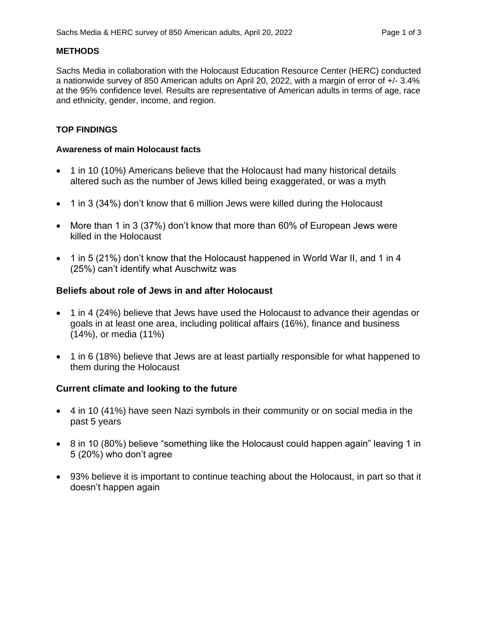### **METHODS**

Sachs Media in collaboration with the Holocaust Education Resource Center (HERC) conducted a nationwide survey of 850 American adults on April 20, 2022, with a margin of error of +/- 3.4% at the 95% confidence level. Results are representative of American adults in terms of age, race and ethnicity, gender, income, and region.

### **TOP FINDINGS**

#### **Awareness of main Holocaust facts**

- 1 in 10 (10%) Americans believe that the Holocaust had many historical details altered such as the number of Jews killed being exaggerated, or was a myth
- 1 in 3 (34%) don't know that 6 million Jews were killed during the Holocaust
- More than 1 in 3 (37%) don't know that more than 60% of European Jews were killed in the Holocaust
- 1 in 5 (21%) don't know that the Holocaust happened in World War II, and 1 in 4 (25%) can't identify what Auschwitz was

### **Beliefs about role of Jews in and after Holocaust**

- 1 in 4 (24%) believe that Jews have used the Holocaust to advance their agendas or goals in at least one area, including political affairs (16%), finance and business (14%), or media (11%)
- 1 in 6 (18%) believe that Jews are at least partially responsible for what happened to them during the Holocaust

## **Current climate and looking to the future**

- 4 in 10 (41%) have seen Nazi symbols in their community or on social media in the past 5 years
- 8 in 10 (80%) believe "something like the Holocaust could happen again" leaving 1 in 5 (20%) who don't agree
- 93% believe it is important to continue teaching about the Holocaust, in part so that it doesn't happen again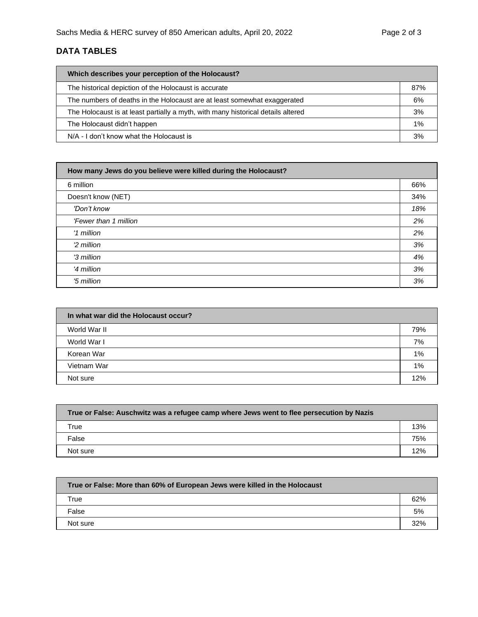# **DATA TABLES**

| Which describes your perception of the Holocaust?                                |     |
|----------------------------------------------------------------------------------|-----|
| The historical depiction of the Holocaust is accurate                            | 87% |
| The numbers of deaths in the Holocaust are at least somewhat exaggerated         | 6%  |
| The Holocaust is at least partially a myth, with many historical details altered | 3%  |
| The Holocaust didn't happen                                                      | 1%  |
| N/A - I don't know what the Holocaust is                                         | 3%  |

| How many Jews do you believe were killed during the Holocaust? |     |
|----------------------------------------------------------------|-----|
| 6 million                                                      | 66% |
| Doesn't know (NET)                                             | 34% |
| 'Don't know                                                    | 18% |
| 'Fewer than 1 million                                          | 2%  |
| '1 million                                                     | 2%  |
| '2 million                                                     | 3%  |
| '3 million                                                     | 4%  |
| '4 million                                                     | 3%  |
| '5 million                                                     | 3%  |

| In what war did the Holocaust occur? |       |
|--------------------------------------|-------|
| World War II                         | 79%   |
| World War I                          | 7%    |
| Korean War                           | $1\%$ |
| Vietnam War                          | 1%    |
| Not sure                             | 12%   |

| True or False: Auschwitz was a refugee camp where Jews went to flee persecution by Nazis |     |
|------------------------------------------------------------------------------------------|-----|
| True                                                                                     | 13% |
| False                                                                                    | 75% |
| Not sure                                                                                 | 12% |

| True or False: More than 60% of European Jews were killed in the Holocaust |     |
|----------------------------------------------------------------------------|-----|
| True                                                                       | 62% |
| False                                                                      | 5%  |
| Not sure                                                                   | 32% |